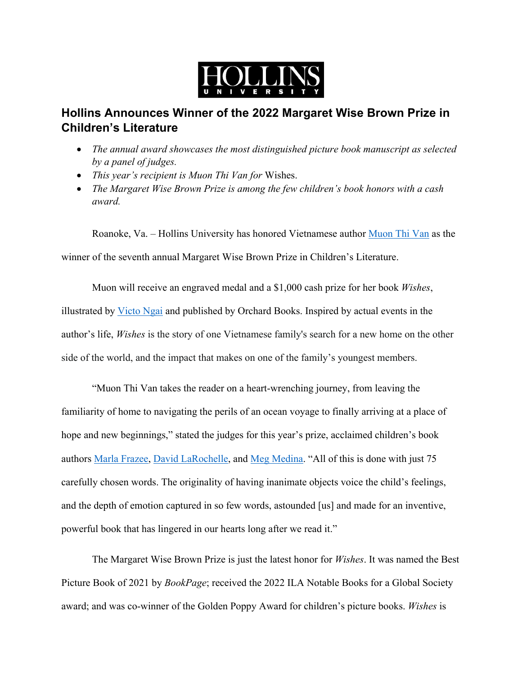

## **Hollins Announces Winner of the 2022 Margaret Wise Brown Prize in Children's Literature**

- *The annual award showcases the most distinguished picture book manuscript as selected by a panel of judges.*
- *This year's recipient is Muon Thi Van for* Wishes.
- *The Margaret Wise Brown Prize is among the few children's book honors with a cash award.*

Roanoke, Va. – Hollins University has honored Vietnamese author Muon Thi Van as the

winner of the seventh annual Margaret Wise Brown Prize in Children's Literature.

 Muon will receive an engraved medal and a \$1,000 cash prize for her book *Wishes*, illustrated by Victo Ngai and published by Orchard Books. Inspired by actual events in the author's life, *Wishes* is the story of one Vietnamese family's search for a new home on the other side of the world, and the impact that makes on one of the family's youngest members.

 "Muon Thi Van takes the reader on a heart-wrenching journey, from leaving the familiarity of home to navigating the perils of an ocean voyage to finally arriving at a place of hope and new beginnings," stated the judges for this year's prize, acclaimed children's book authors Marla Frazee, David LaRochelle, and Meg Medina. "All of this is done with just 75 carefully chosen words. The originality of having inanimate objects voice the child's feelings, and the depth of emotion captured in so few words, astounded [us] and made for an inventive, powerful book that has lingered in our hearts long after we read it."

 The Margaret Wise Brown Prize is just the latest honor for *Wishes*. It was named the Best Picture Book of 2021 by *BookPage*; received the 2022 ILA Notable Books for a Global Society award; and was co-winner of the Golden Poppy Award for children's picture books. *Wishes* is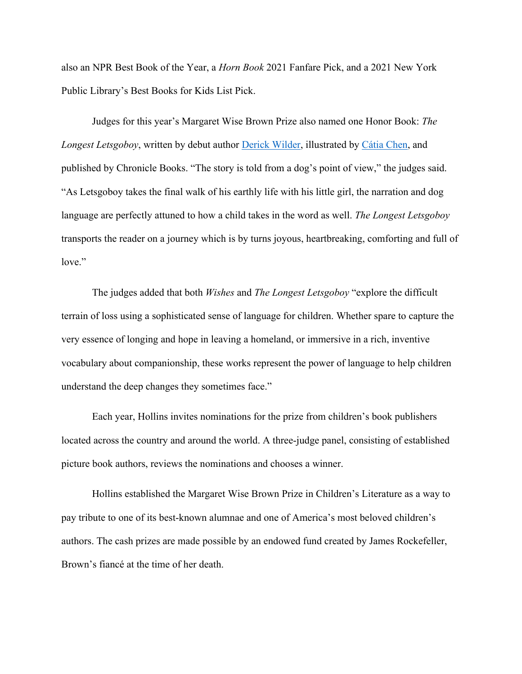also an NPR Best Book of the Year, a *Horn Book* 2021 Fanfare Pick, and a 2021 New York Public Library's Best Books for Kids List Pick.

 Judges for this year's Margaret Wise Brown Prize also named one Honor Book: *The Longest Letsgoboy*, written by debut author Derick Wilder, illustrated by Cátia Chen, and published by Chronicle Books. "The story is told from a dog's point of view," the judges said. "As Letsgoboy takes the final walk of his earthly life with his little girl, the narration and dog language are perfectly attuned to how a child takes in the word as well. *The Longest Letsgoboy* transports the reader on a journey which is by turns joyous, heartbreaking, comforting and full of love."

 The judges added that both *Wishes* and *The Longest Letsgoboy* "explore the difficult terrain of loss using a sophisticated sense of language for children. Whether spare to capture the very essence of longing and hope in leaving a homeland, or immersive in a rich, inventive vocabulary about companionship, these works represent the power of language to help children understand the deep changes they sometimes face."

 Each year, Hollins invites nominations for the prize from children's book publishers located across the country and around the world. A three-judge panel, consisting of established picture book authors, reviews the nominations and chooses a winner.

 Hollins established the Margaret Wise Brown Prize in Children's Literature as a way to pay tribute to one of its best-known alumnae and one of America's most beloved children's authors. The cash prizes are made possible by an endowed fund created by James Rockefeller, Brown's fiancé at the time of her death.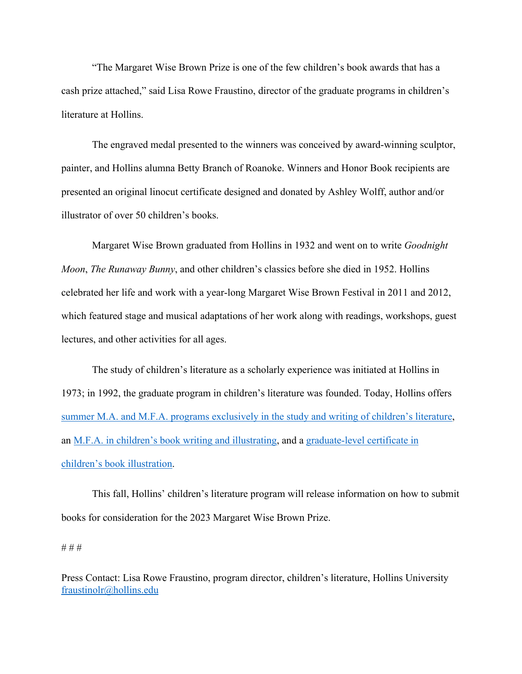"The Margaret Wise Brown Prize is one of the few children's book awards that has a cash prize attached," said Lisa Rowe Fraustino, director of the graduate programs in children's literature at Hollins.

 The engraved medal presented to the winners was conceived by award-winning sculptor, painter, and Hollins alumna Betty Branch of Roanoke. Winners and Honor Book recipients are presented an original linocut certificate designed and donated by Ashley Wolff, author and/or illustrator of over 50 children's books.

 Margaret Wise Brown graduated from Hollins in 1932 and went on to write *Goodnight Moon*, *The Runaway Bunny*, and other children's classics before she died in 1952. Hollins celebrated her life and work with a year-long Margaret Wise Brown Festival in 2011 and 2012, which featured stage and musical adaptations of her work along with readings, workshops, guest lectures, and other activities for all ages.

 The study of children's literature as a scholarly experience was initiated at Hollins in 1973; in 1992, the graduate program in children's literature was founded. Today, Hollins offers summer M.A. and M.F.A. programs exclusively in the study and writing of children's literature, an M.F.A. in children's book writing and illustrating, and a graduate-level certificate in children's book illustration.

 This fall, Hollins' children's literature program will release information on how to submit books for consideration for the 2023 Margaret Wise Brown Prize.

## # # #

Press Contact: Lisa Rowe Fraustino, program director, children's literature, Hollins University fraustinolr@hollins.edu